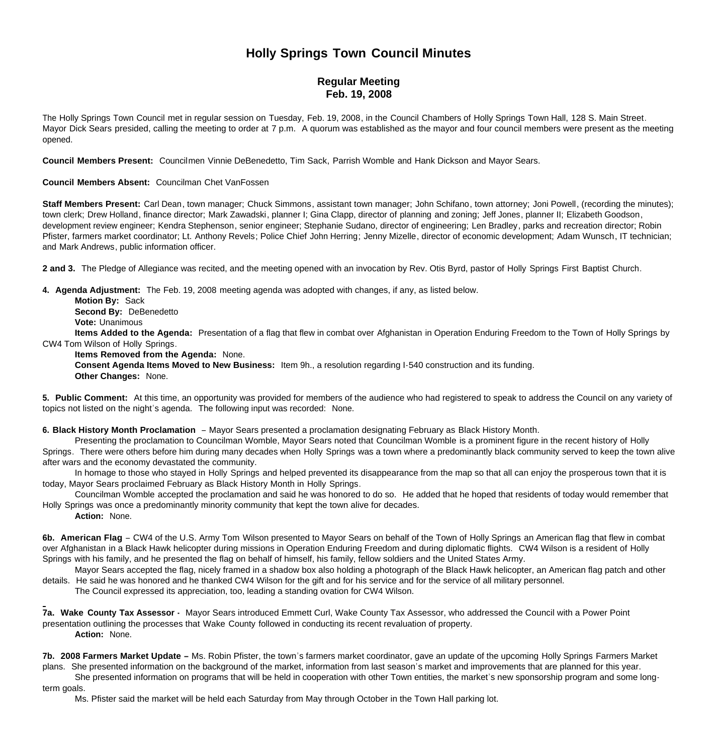# **Holly Springs Town Council Minutes**

## **Regular Meeting Feb. 19, 2008**

The Holly Springs Town Council met in regular session on Tuesday, Feb. 19, 2008, in the Council Chambers of Holly Springs Town Hall, 128 S. Main Street. Mayor Dick Sears presided, calling the meeting to order at 7 p.m. A quorum was established as the mayor and four council members were present as the meeting opened.

**Council Members Present:** Councilmen Vinnie DeBenedetto, Tim Sack, Parrish Womble and Hank Dickson and Mayor Sears.

#### **Council Members Absent:** Councilman Chet VanFossen

Staff Members Present: Carl Dean, town manager; Chuck Simmons, assistant town manager; John Schifano, town attorney; Joni Powell, (recording the minutes); town clerk; Drew Holland, finance director; Mark Zawadski, planner I; Gina Clapp, director of planning and zoning; Jeff Jones, planner II; Elizabeth Goodson, development review engineer; Kendra Stephenson, senior engineer; Stephanie Sudano, director of engineering; Len Bradley, parks and recreation director; Robin Pfister, farmers market coordinator; Lt. Anthony Revels; Police Chief John Herring; Jenny Mizelle, director of economic development; Adam Wunsch, IT technician; and Mark Andrews, public information officer.

**2 and 3.** The Pledge of Allegiance was recited, and the meeting opened with an invocation by Rev. Otis Byrd, pastor of Holly Springs First Baptist Church.

**4. Agenda Adjustment:** The Feb. 19, 2008 meeting agenda was adopted with changes, if any, as listed below.

 **Motion By:** Sack **Second By: DeBenedetto Vote:** Unanimous

 **Items Added to the Agenda:** Presentation of a flag that flew in combat over Afghanistan in Operation Enduring Freedom to the Town of Holly Springs by CW4 Tom Wilson of Holly Springs.

#### **Items Removed from the Agenda:** None.

 **Consent Agenda Items Moved to New Business:** Item 9h., a resolution regarding I-540 construction and its funding. **Other Changes:** None.

**5. Public Comment:** At this time, an opportunity was provided for members of the audience who had registered to speak to address the Council on any variety of topics not listed on the night's agenda. The following input was recorded: None.

**6. Black History Month Proclamation** – Mayor Sears presented a proclamation designating February as Black History Month.

 Presenting the proclamation to Councilman Womble, Mayor Sears noted that Councilman Womble is a prominent figure in the recent history of Holly Springs. There were others before him during many decades when Holly Springs was a town where a predominantly black community served to keep the town alive after wars and the economy devastated the community.

 In homage to those who stayed in Holly Springs and helped prevented its disappearance from the map so that all can enjoy the prosperous town that it is today, Mayor Sears proclaimed February as Black History Month in Holly Springs.

Councilman Womble accepted the proclamation and said he was honored to do so. He added that he hoped that residents of today would remember that Holly Springs was once a predominantly minority community that kept the town alive for decades.

**Action:** None.

**6b. American Flag** – CW4 of the U.S. Army Tom Wilson presented to Mayor Sears on behalf of the Town of Holly Springs an American flag that flew in combat over Afghanistan in a Black Hawk helicopter during missions in Operation Enduring Freedom and during diplomatic flights. CW4 Wilson is a resident of Holly Springs with his family, and he presented the flag on behalf of himself, his family, fellow soldiers and the United States Army.

Mayor Sears accepted the flag, nicely framed in a shadow box also holding a photograph of the Black Hawk helicopter, an American flag patch and other details. He said he was honored and he thanked CW4 Wilson for the gift and for his service and for the service of all military personnel.

The Council expressed its appreciation, too, leading a standing ovation for CW4 Wilson.

**7a. Wake County Tax Assessor -** Mayor Sears introduced Emmett Curl, Wake County Tax Assessor, who addressed the Council with a Power Point presentation outlining the processes that Wake County followed in conducting its recent revaluation of property. **Action:** None.

**7b. 2008 Farmers Market Update –** Ms. Robin Pfister, the town's farmers market coordinator, gave an update of the upcoming Holly Springs Farmers Market plans. She presented information on the background of the market, information from last season's market and improvements that are planned for this year. She presented information on programs that will be held in cooperation with other Town entities, the market's new sponsorship program and some long-

term goals.

Ms. Pfister said the market will be held each Saturday from May through October in the Town Hall parking lot.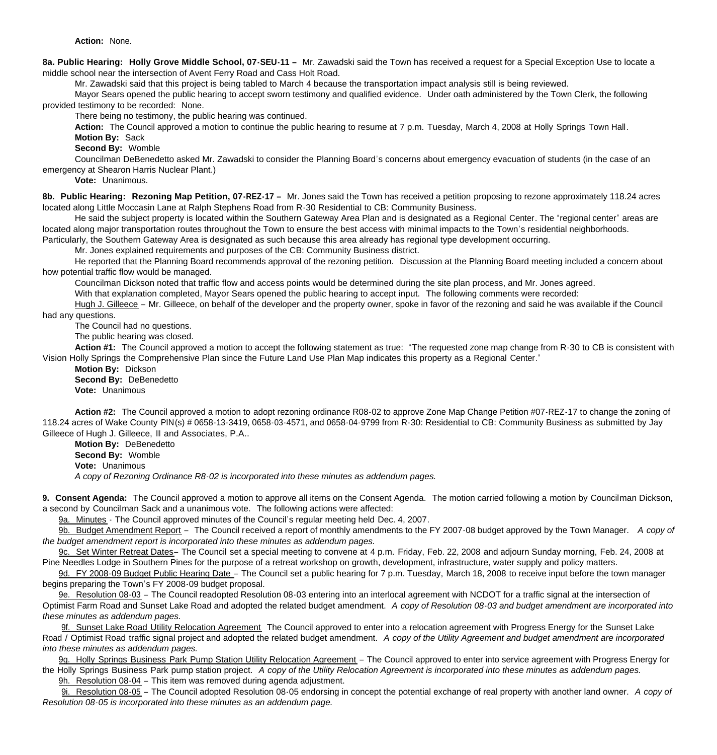**Action:** None.

**8a. Public Hearing: Holly Grove Middle School, 07-SEU-11 –** Mr. Zawadski said the Town has received a request for a Special Exception Use to locate a middle school near the intersection of Avent Ferry Road and Cass Holt Road.

Mr. Zawadski said that this project is being tabled to March 4 because the transportation impact analysis still is being reviewed.

Mayor Sears opened the public hearing to accept sworn testimony and qualified evidence. Under oath administered by the Town Clerk, the following provided testimony to be recorded: None.

There being no testimony, the public hearing was continued.

**Action:** The Council approved a motion to continue the public hearing to resume at 7 p.m. Tuesday, March 4, 2008 at Holly Springs Town Hall. **Motion By:** Sack

**Second By:** Womble

 Councilman DeBenedetto asked Mr. Zawadski to consider the Planning Board's concerns about emergency evacuation of students (in the case of an emergency at Shearon Harris Nuclear Plant.)

**Vote:** Unanimous.

**8b. Public Hearing: Rezoning Map Petition, 07-REZ-17 –** Mr. Jones said the Town has received a petition proposing to rezone approximately 118.24 acres located along Little Moccasin Lane at Ralph Stephens Road from R-30 Residential to CB: Community Business.

 He said the subject property is located within the Southern Gateway Area Plan and is designated as a Regional Center. The "regional center" areas are located along major transportation routes throughout the Town to ensure the best access with minimal impacts to the Town's residential neighborhoods.

Particularly, the Southern Gateway Area is designated as such because this area already has regional type development occurring.

Mr. Jones explained requirements and purposes of the CB: Community Business district.

 He reported that the Planning Board recommends approval of the rezoning petition. Discussion at the Planning Board meeting included a concern about how potential traffic flow would be managed.

Councilman Dickson noted that traffic flow and access points would be determined during the site plan process, and Mr. Jones agreed.

With that explanation completed, Mayor Sears opened the public hearing to accept input. The following comments were recorded:

Hugh J. Gilleece – Mr. Gilleece, on behalf of the developer and the property owner, spoke in favor of the rezoning and said he was available if the Council had any questions.

The Council had no questions.

The public hearing was closed.

**Action #1:** The Council approved a motion to accept the following statement as true: "The requested zone map change from R-30 to CB is consistent with Vision Holly Springs the Comprehensive Plan since the Future Land Use Plan Map indicates this property as a Regional Center."

**Motion By:** Dickson **Second By:** DeBenedetto **Vote:** Unanimous

**Action #2:** The Council approved a motion to adopt rezoning ordinance R08-02 to approve Zone Map Change Petition #07-REZ-17 to change the zoning of 118.24 acres of Wake County PIN(s) # 0658-13-3419, 0658-03-4571, and 0658-04-9799 from R-30: Residential to CB: Community Business as submitted by Jay Gilleece of Hugh J. Gilleece, III and Associates, P.A..

**Motion By:** DeBenedetto **Second By:** Womble **Vote:** Unanimous *A copy of Rezoning Ordinance R8-02 is incorporated into these minutes as addendum pages.*

**9. Consent Agenda:** The Council approved a motion to approve all items on the Consent Agenda. The motion carried following a motion by Councilman Dickson, a second by Councilman Sack and a unanimous vote. The following actions were affected:

9a. Minutes - The Council approved minutes of the Council's regular meeting held Dec. 4, 2007.

9b. Budget Amendment Report – The Council received a report of monthly amendments to the FY 2007-08 budget approved by the Town Manager. *A copy of the budget amendment report is incorporated into these minutes as addendum pages.*

9c. Set Winter Retreat Dates– The Council set a special meeting to convene at 4 p.m. Friday, Feb. 22, 2008 and adjourn Sunday morning, Feb. 24, 2008 at Pine Needles Lodge in Southern Pines for the purpose of a retreat workshop on growth, development, infrastructure, water supply and policy matters.

9d. FY 2008-09 Budget Public Hearing Date – The Council set a public hearing for 7 p.m. Tuesday, March 18, 2008 to receive input before the town manager begins preparing the Town's FY 2008-09 budget proposal.

9e. Resolution 08-03 – The Council readopted Resolution 08-03 entering into an interlocal agreement with NCDOT for a traffic signal at the intersection of Optimist Farm Road and Sunset Lake Road and adopted the related budget amendment. *A copy of Resolution 08-03 and budget amendment are incorporated into these minutes as addendum pages.*

9f. Sunset Lake Road Utility Relocation Agreement The Council approved to enter into a relocation agreement with Progress Energy for the Sunset Lake Road / Optimist Road traffic signal project and adopted the related budget amendment. *A copy of the Utility Agreement and budget amendment are incorporated into these minutes as addendum pages.*

9g. Holly Springs Business Park Pump Station Utility Relocation Agreement – The Council approved to enter into service agreement with Progress Energy for the Holly Springs Business Park pump station project. *A copy of the Utility Relocation Agreement is incorporated into these minutes as addendum pages.*

9h. Resolution 08-04 – This item was removed during agenda adjustment.

9i. Resolution 08-05 – The Council adopted Resolution 08-05 endorsing in concept the potential exchange of real property with another land owner. *A copy of Resolution 08-05 is incorporated into these minutes as an addendum page.*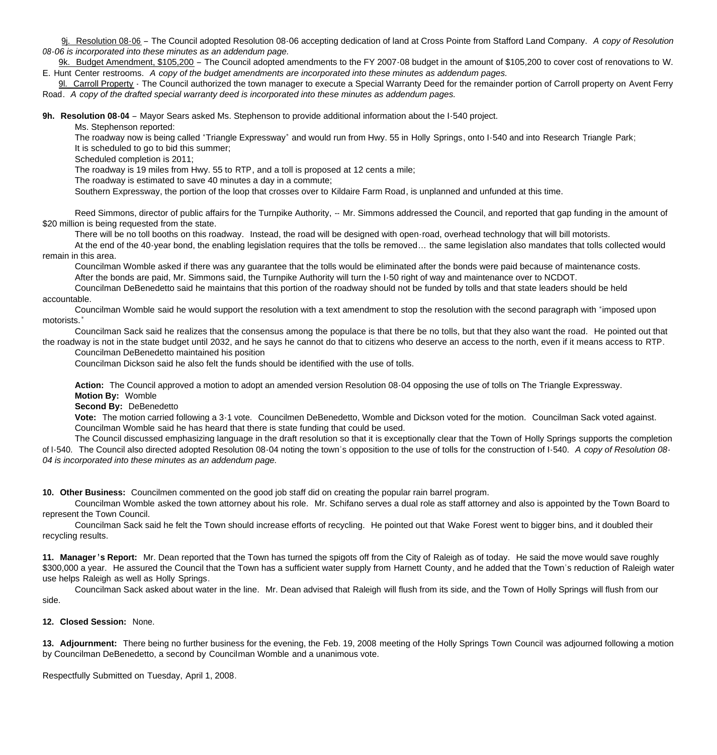9j. Resolution 08-06 – The Council adopted Resolution 08-06 accepting dedication of land at Cross Pointe from Stafford Land Company. *A copy of Resolution 08-06 is incorporated into these minutes as an addendum page.*

9k. Budget Amendment, \$105,200 – The Council adopted amendments to the FY 2007-08 budget in the amount of \$105,200 to cover cost of renovations to W. E. Hunt Center restrooms. *A copy of the budget amendments are incorporated into these minutes as addendum pages.*

9l. Carroll Property - The Council authorized the town manager to execute a Special Warranty Deed for the remainder portion of Carroll property on Avent Ferry Road. *A copy of the drafted special warranty deed is incorporated into these minutes as addendum pages.*

**9h. Resolution 08-04** – Mayor Sears asked Ms. Stephenson to provide additional information about the I-540 project.

Ms. Stephenson reported:

The roadway now is being called "Triangle Expressway" and would run from Hwy. 55 in Holly Springs, onto I-540 and into Research Triangle Park;

It is scheduled to go to bid this summer;

Scheduled completion is 2011;

The roadway is 19 miles from Hwy. 55 to RTP, and a toll is proposed at 12 cents a mile;

The roadway is estimated to save 40 minutes a day in a commute;

Southern Expressway, the portion of the loop that crosses over to Kildaire Farm Road, is unplanned and unfunded at this time.

Reed Simmons, director of public affairs for the Turnpike Authority, -- Mr. Simmons addressed the Council, and reported that gap funding in the amount of \$20 million is being requested from the state.

There will be no toll booths on this roadway. Instead, the road will be designed with open-road, overhead technology that will bill motorists.

At the end of the 40-year bond, the enabling legislation requires that the tolls be removed… the same legislation also mandates that tolls collected would remain in this area.

Councilman Womble asked if there was any guarantee that the tolls would be eliminated after the bonds were paid because of maintenance costs. After the bonds are paid, Mr. Simmons said, the Turnpike Authority will turn the I-50 right of way and maintenance over to NCDOT.

Councilman DeBenedetto said he maintains that this portion of the roadway should not be funded by tolls and that state leaders should be held accountable.

Councilman Womble said he would support the resolution with a text amendment to stop the resolution with the second paragraph with "imposed upon motorists."

Councilman Sack said he realizes that the consensus among the populace is that there be no tolls, but that they also want the road. He pointed out that

the roadway is not in the state budget until 2032, and he says he cannot do that to citizens who deserve an access to the north, even if it means access to RTP. Councilman DeBenedetto maintained his position

Councilman Dickson said he also felt the funds should be identified with the use of tolls.

**Action:** The Council approved a motion to adopt an amended version Resolution 08-04 opposing the use of tolls on The Triangle Expressway.

**Motion By:** Womble

**Second By:** DeBenedetto

**Vote:** The motion carried following a 3-1 vote. Councilmen DeBenedetto, Womble and Dickson voted for the motion. Councilman Sack voted against. Councilman Womble said he has heard that there is state funding that could be used.

The Council discussed emphasizing language in the draft resolution so that it is exceptionally clear that the Town of Holly Springs supports the completion of I-540. The Council also directed adopted Resolution 08-04 noting the town's opposition to the use of tolls for the construction of I-540. *A copy of Resolution 08- 04 is incorporated into these minutes as an addendum page.*

**10. Other Business:** Councilmen commented on the good job staff did on creating the popular rain barrel program.

 Councilman Womble asked the town attorney about his role. Mr. Schifano serves a dual role as staff attorney and also is appointed by the Town Board to represent the Town Council.

 Councilman Sack said he felt the Town should increase efforts of recycling. He pointed out that Wake Forest went to bigger bins, and it doubled their recycling results.

**11. Manager 's Report:** Mr. Dean reported that the Town has turned the spigots off from the City of Raleigh as of today. He said the move would save roughly \$300,000 a year. He assured the Council that the Town has a sufficient water supply from Harnett County, and he added that the Town's reduction of Raleigh water use helps Raleigh as well as Holly Springs.

Councilman Sack asked about water in the line. Mr. Dean advised that Raleigh will flush from its side, and the Town of Holly Springs will flush from our side.

### **12. Closed Session:** None.

**13. Adjournment:** There being no further business for the evening, the Feb. 19, 2008 meeting of the Holly Springs Town Council was adjourned following a motion by Councilman DeBenedetto, a second by Councilman Womble and a unanimous vote.

Respectfully Submitted on Tuesday, April 1, 2008.